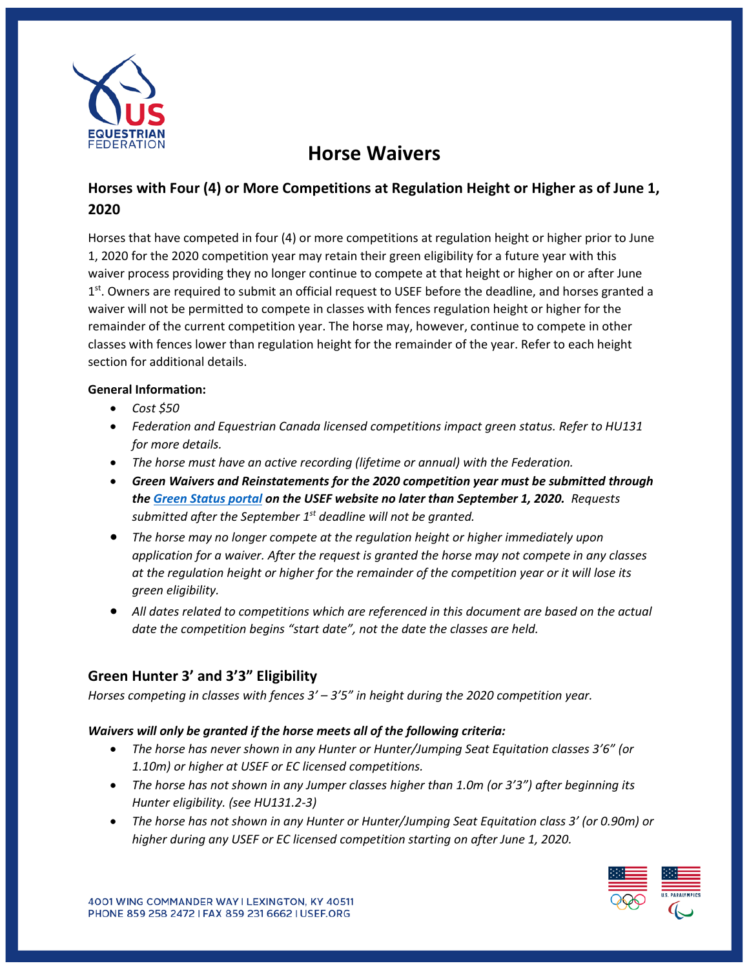

# **Horse Waivers**

# **Horses with Four (4) or More Competitions at Regulation Height or Higher as of June 1, 2020**

Horses that have competed in four (4) or more competitions at regulation height or higher prior to June 1, 2020 for the 2020 competition year may retain their green eligibility for a future year with this waiver process providing they no longer continue to compete at that height or higher on or after June 1<sup>st</sup>. Owners are required to submit an official request to USEF before the deadline, and horses granted a waiver will not be permitted to compete in classes with fences regulation height or higher for the remainder of the current competition year. The horse may, however, continue to compete in other classes with fences lower than regulation height for the remainder of the year. Refer to each height section for additional details.

#### **General Information:**

- *Cost \$50*
- *Federation and Equestrian Canada licensed competitions impact green status. Refer to HU131 for more details.*
- *The horse must have an active recording (lifetime or annual) with the Federation.*
- *Green Waivers and Reinstatements for the 2020 competition year must be submitted through th[e Green](https://members.usef.org/green-status) Status portal on the USEF website no later than September 1, 2020. Requests submitted after the September 1st deadline will not be granted.*
- *The horse may no longer compete at the regulation height or higher immediately upon application for a waiver. After the request is granted the horse may not compete in any classes at the regulation height or higher for the remainder of the competition year or it will lose its green eligibility.*
- *All dates related to competitions which are referenced in this document are based on the actual date the competition begins "start date", not the date the classes are held.*

# **Green Hunter 3' and 3'3" Eligibility**

*Horses competing in classes with fences 3' – 3'5" in height during the 2020 competition year.* 

#### *Waivers will only be granted if the horse meets all of the following criteria:*

- *The horse has never shown in any Hunter or Hunter/Jumping Seat Equitation classes 3'6" (or 1.10m) or higher at USEF or EC licensed competitions.*
- *The horse has not shown in any Jumper classes higher than 1.0m (or 3'3") after beginning its Hunter eligibility. (see HU131.2-3)*
- *The horse has not shown in any Hunter or Hunter/Jumping Seat Equitation class 3' (or 0.90m) or higher during any USEF or EC licensed competition starting on after June 1, 2020.*

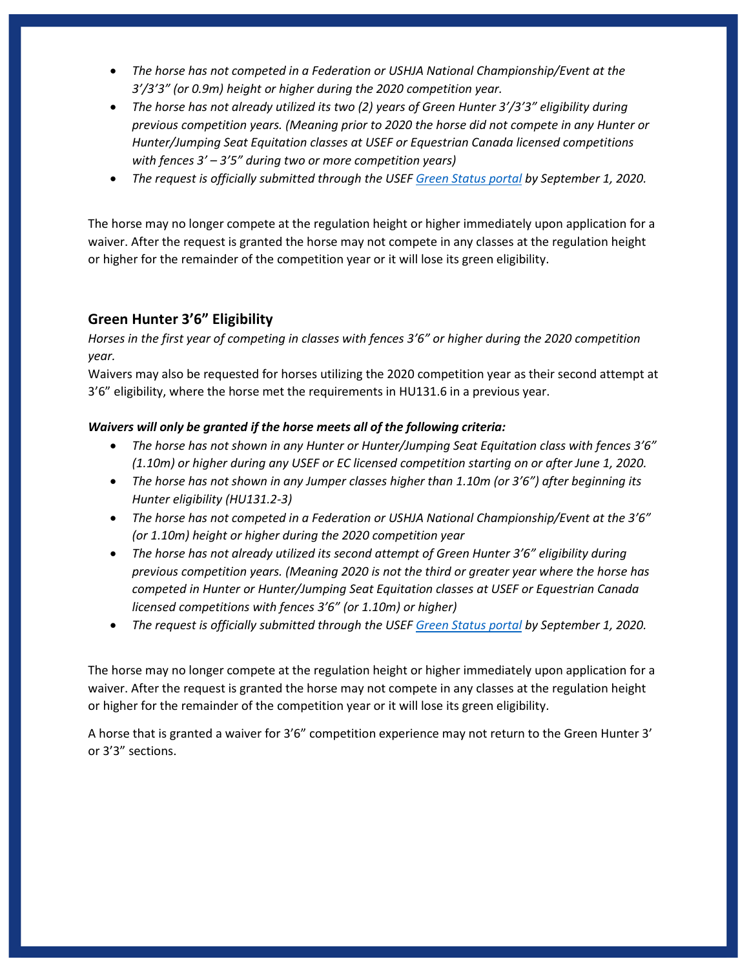- *The horse has not competed in a Federation or USHJA National Championship/Event at the 3'/3'3" (or 0.9m) height or higher during the 2020 competition year.*
- *The horse has not already utilized its two (2) years of Green Hunter 3'/3'3" eligibility during previous competition years. (Meaning prior to 2020 the horse did not compete in any Hunter or Hunter/Jumping Seat Equitation classes at USEF or Equestrian Canada licensed competitions with fences 3' – 3'5" during two or more competition years)*
- *The request is officially submitted through the USEF [Green](https://members.usef.org/green-status) Status portal by September 1, 2020.*

The horse may no longer compete at the regulation height or higher immediately upon application for a waiver. After the request is granted the horse may not compete in any classes at the regulation height or higher for the remainder of the competition year or it will lose its green eligibility.

## **Green Hunter 3'6" Eligibility**

*Horses in the first year of competing in classes with fences 3'6" or higher during the 2020 competition year.* 

Waivers may also be requested for horses utilizing the 2020 competition year as their second attempt at 3'6" eligibility, where the horse met the requirements in HU131.6 in a previous year.

#### *Waivers will only be granted if the horse meets all of the following criteria:*

- *The horse has not shown in any Hunter or Hunter/Jumping Seat Equitation class with fences 3'6" (1.10m) or higher during any USEF or EC licensed competition starting on or after June 1, 2020.*
- *The horse has not shown in any Jumper classes higher than 1.10m (or 3'6") after beginning its Hunter eligibility (HU131.2-3)*
- *The horse has not competed in a Federation or USHJA National Championship/Event at the 3'6" (or 1.10m) height or higher during the 2020 competition year*
- *The horse has not already utilized its second attempt of Green Hunter 3'6" eligibility during previous competition years. (Meaning 2020 is not the third or greater year where the horse has competed in Hunter or Hunter/Jumping Seat Equitation classes at USEF or Equestrian Canada licensed competitions with fences 3'6" (or 1.10m) or higher)*
- *The request is officially submitted through the USEF [Green](https://members.usef.org/green-status) Status portal by September 1, 2020.*

The horse may no longer compete at the regulation height or higher immediately upon application for a waiver. After the request is granted the horse may not compete in any classes at the regulation height or higher for the remainder of the competition year or it will lose its green eligibility.

A horse that is granted a waiver for 3'6" competition experience may not return to the Green Hunter 3' or 3'3" sections.